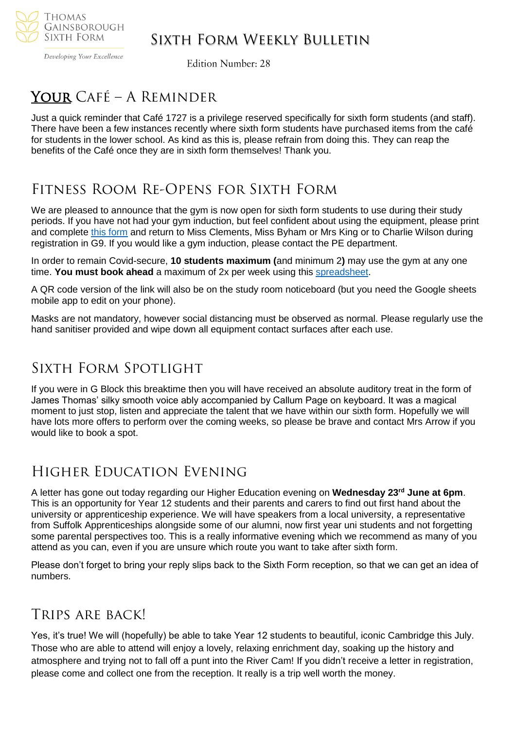

### Sixth Form Weekly Bulletin

Developing Your Excellence

**Edition Number: 28** 

# Your Café – A Reminder

Just a quick reminder that Café 1727 is a privilege reserved specifically for sixth form students (and staff). There have been a few instances recently where sixth form students have purchased items from the café for students in the lower school. As kind as this is, please refrain from doing this. They can reap the benefits of the Café once they are in sixth form themselves! Thank you.

## Fitness Room Re-Opens for Sixth Form

We are pleased to announce that the gym is now open for sixth form students to use during their study periods. If you have not had your gym induction, but feel confident about using the equipment, please print and complete [this form](https://drive.google.com/file/d/1NWeyHRP0LoLk2ISBKTEpu_yv1QgErtpl/view?usp=sharing) and return to Miss Clements, Miss Byham or Mrs King or to Charlie Wilson during registration in G9. If you would like a gym induction, please contact the PE department.

In order to remain Covid-secure, **10 students maximum (**and minimum 2**)** may use the gym at any one time. **You must book ahead** a maximum of 2x per week using this [spreadsheet.](https://docs.google.com/spreadsheets/d/1b9ckd1zLjycOq2LHzIn5gYeuTNrGXS2etRSmflQ7PUw/edit?usp=sharing)

A QR code version of the link will also be on the study room noticeboard (but you need the Google sheets mobile app to edit on your phone).

Masks are not mandatory, however social distancing must be observed as normal. Please regularly use the hand sanitiser provided and wipe down all equipment contact surfaces after each use.

### Sixth Form Spotlight

If you were in G Block this breaktime then you will have received an absolute auditory treat in the form of James Thomas' silky smooth voice ably accompanied by Callum Page on keyboard. It was a magical moment to just stop, listen and appreciate the talent that we have within our sixth form. Hopefully we will have lots more offers to perform over the coming weeks, so please be brave and contact Mrs Arrow if you would like to book a spot.

### Higher Education Evening

A letter has gone out today regarding our Higher Education evening on **Wednesday 23rd June at 6pm**. This is an opportunity for Year 12 students and their parents and carers to find out first hand about the university or apprenticeship experience. We will have speakers from a local university, a representative from Suffolk Apprenticeships alongside some of our alumni, now first year uni students and not forgetting some parental perspectives too. This is a really informative evening which we recommend as many of you attend as you can, even if you are unsure which route you want to take after sixth form.

Please don't forget to bring your reply slips back to the Sixth Form reception, so that we can get an idea of numbers.

### Trips are back!

Yes, it's true! We will (hopefully) be able to take Year 12 students to beautiful, iconic Cambridge this July. Those who are able to attend will enjoy a lovely, relaxing enrichment day, soaking up the history and atmosphere and trying not to fall off a punt into the River Cam! If you didn't receive a letter in registration, please come and collect one from the reception. It really is a trip well worth the money.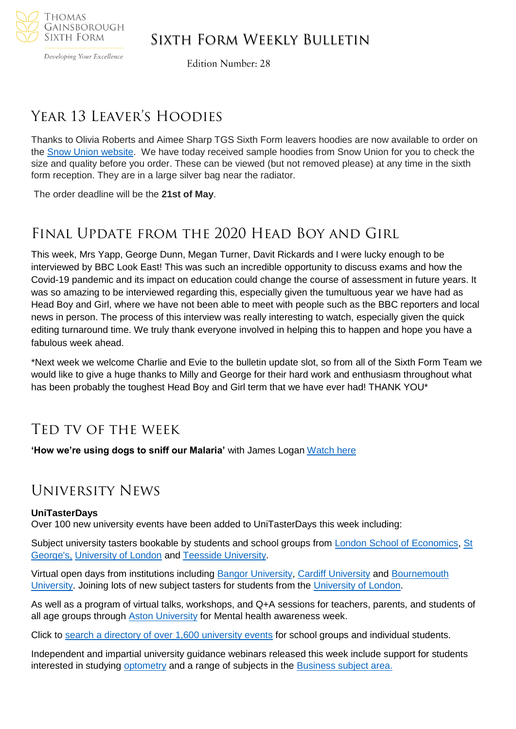

#### Developing Your Excellence

### Sixth Form Weekly Bulletin

**Edition Number: 28** 

### Year 13 Leaver's Hoodies

Thanks to Olivia Roberts and Aimee Sharp TGS Sixth Form leavers hoodies are now available to order on the [Snow Union website.](https://www.snowunion.co.uk/product/thomas-gainsborough-school-sixth-form-leavers-2021-hoodie/) We have today received sample hoodies from Snow Union for you to check the size and quality before you order. These can be viewed (but not removed please) at any time in the sixth form reception. They are in a large silver bag near the radiator.

The order deadline will be the **21st of May**.

### Final Update from the 2020 Head Boy and Girl

This week, Mrs Yapp, George Dunn, Megan Turner, Davit Rickards and I were lucky enough to be interviewed by BBC Look East! This was such an incredible opportunity to discuss exams and how the Covid-19 pandemic and its impact on education could change the course of assessment in future years. It was so amazing to be interviewed regarding this, especially given the tumultuous year we have had as Head Boy and Girl, where we have not been able to meet with people such as the BBC reporters and local news in person. The process of this interview was really interesting to watch, especially given the quick editing turnaround time. We truly thank everyone involved in helping this to happen and hope you have a fabulous week ahead.

\*Next week we welcome Charlie and Evie to the bulletin update slot, so from all of the Sixth Form Team we would like to give a huge thanks to Milly and George for their hard work and enthusiasm throughout what has been probably the toughest Head Boy and Girl term that we have ever had! THANK YOU\*

### Ted tv of the week

**'How we're using dogs to sniff our Malaria'** with James Logan [Watch here](https://www.ted.com/talks/james_logan_how_we_re_using_dogs_to_sniff_out_malaria)

### University News

#### **UniTasterDays**

Over 100 new university events have been added to UniTasterDays this week including:

Subject university tasters bookable by students and school groups from [London School of Economics,](https://www.unitasterdays.com/search.aspx?IID=150&Sort=D) St [George's,](https://www.unitasterdays.com/search.aspx?IID=224&Sort=D) [University of London](https://www.unitasterdays.com/search.aspx?IID=235&Sort=D) and [Teesside University.](https://www.unitasterdays.com/search.aspx?IID=235&Sort=D)

Virtual open days from institutions including [Bangor University,](https://www.unitasterdays.com/search.aspx?IID=13&Sort=D) [Cardiff University](https://www.unitasterdays.com/search.aspx?IID=33&Sort=D) and [Bournemouth](https://www.unitasterdays.com/search.aspx?IID=21&Sort=D)  [University.](https://www.unitasterdays.com/search.aspx?IID=21&Sort=D) Joining lots of new subject tasters for students from the [University of London.](https://www.unitasterdays.com/search.aspx?IID=2218&Sort=D)

As well as a program of virtual talks, workshops, and Q+A sessions for teachers, parents, and students of all age groups through [Aston University](https://www.unitasterdays.com/events/event/64851/mental-health-awareness-week) for Mental health awareness week.

Click to [search a directory of over 1,600 university events](https://www.unitasterdays.com/search.aspx?IID=2218&Sort=D) for school groups and individual students.

Independent and impartial university guidance webinars released this week include support for students interested in studying [optometry](https://www.unitasterdays.com/ondemand/webinar/116/optometry) and a range of subjects in the [Business subject area.](https://www.unitasterdays.com/ondemand)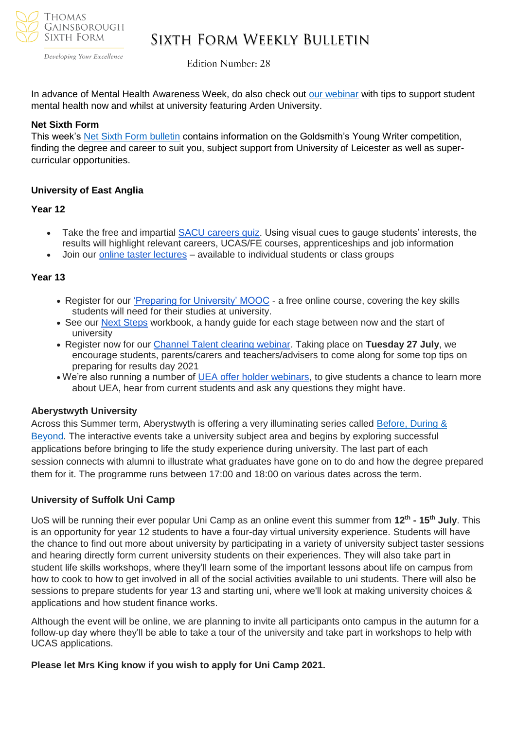

Developing Your Excellence

### Sixth Form Weekly Bulletin

**Edition Number: 28** 

In advance of Mental Health Awareness Week, do also check out [our webinar](https://www.unitasterdays.com/ondemand/webinar/102/student-wellbeing-and-mental-health-support) with tips to support student mental health now and whilst at university featuring Arden University.

#### **Net Sixth Form**

This week's [Net Sixth Form bulletin](https://us5.campaign-archive.com/?u=8dedc07ce580600fe618f38c3&id=f41bec7f10&e=5eb29481e7) contains information on the Goldsmith's Young Writer competition, finding the degree and career to suit you, subject support from University of Leicester as well as supercurricular opportunities.

#### **University of East Anglia**

#### **Year 12**

- Take the free and impartial [SACU careers quiz.](https://sacu-student.com/?page_id=2850) Using visual cues to gauge students' interests, the results will highlight relevant careers, UCAS/FE courses, apprenticeships and job information
- Join our [online taster lectures](http://www.uea.ac.uk/study/tasters) available to individual students or class groups

#### **Year 13**

- Register for our ['Preparing for University' MOOC](https://www.uea.ac.uk/study/information-for/young-people/preparing-for-university-mooc) a free online course, covering the key skills students will need for their studies at university.
- See our [Next Steps](https://everwondered.uea.ac.uk/resource/young-person/year-13-1/next-steps-workbook) workbook, a handy guide for each stage between now and the start of university
- Register now for our [Channel Talent clearing webinar.](https://www.channeltalent.co.uk/event/he-guidance-getting-the-most-from-clearing-with-university-of-east-anglia/) Taking place on **Tuesday 27 July**, we encourage students, parents/carers and teachers/advisers to come along for some top tips on preparing for results day 2021
- We're also running a number of [UEA offer holder webinars,](http://www.uea.ac.uk/study/webinars) to give students a chance to learn more about UEA, hear from current students and ask any questions they might have.

#### **Aberystwyth University**

Across this Summer term, Aberystwyth is offering a very illuminating series called [Before, During &](file:///C:/Users/sbyham/Downloads/Before,%20During%20&%20Beyond:%20Summer%20Term%20Series%20with%20Aberystwyth%20University)  [Beyond.](file:///C:/Users/sbyham/Downloads/Before,%20During%20&%20Beyond:%20Summer%20Term%20Series%20with%20Aberystwyth%20University) The interactive events take a university subject area and begins by exploring successful applications before bringing to life the study experience during university. The last part of each session connects with alumni to illustrate what graduates have gone on to do and how the degree prepared them for it. The programme runs between 17:00 and 18:00 on various dates across the term.

#### **University of Suffolk Uni Camp**

UoS will be running their ever popular Uni Camp as an online event this summer from **12th - 15th July**. This is an opportunity for year 12 students to have a four-day virtual university experience. Students will have the chance to find out more about university by participating in a variety of university subject taster sessions and hearing directly form current university students on their experiences. They will also take part in student life skills workshops, where they'll learn some of the important lessons about life on campus from how to cook to how to get involved in all of the social activities available to uni students. There will also be sessions to prepare students for year 13 and starting uni, where we'll look at making university choices & applications and how student finance works.

Although the event will be online, we are planning to invite all participants onto campus in the autumn for a follow-up day where they'll be able to take a tour of the university and take part in workshops to help with UCAS applications.

**Please let Mrs King know if you wish to apply for Uni Camp 2021.**